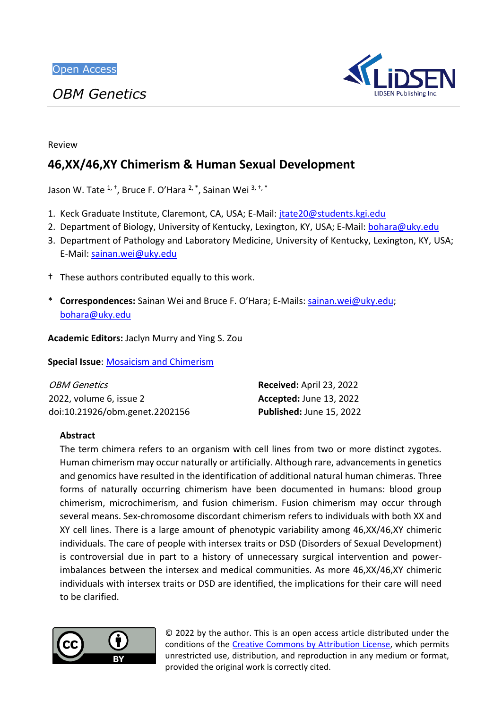*OBM Genetics*



Review

# **46,XX/46,XY Chimerism & Human Sexual Development**

Jason W. Tate <sup>1, †</sup>, Bruce F. O'Hara <sup>2, \*</sup>, Sainan Wei <sup>3, †, \*</sup>

- 1. Keck Graduate Institute, Claremont, CA, USA; E-Mail: [jtate20@students.kgi.edu](mailto:jtate20@students.kgi.edu)
- 2. Department of Biology, University of Kentucky, Lexington, KY, USA; E-Mail: [bohara@uky.edu](mailto:bohara@uky.edu)
- 3. Department of Pathology and Laboratory Medicine, University of Kentucky, Lexington, KY, USA; E-Mail: [sainan.wei@uky.edu](mailto:sainan.wei@uky.edu)
- † These authors contributed equally to this work.
- \* **Correspondences:** Sainan Wei and Bruce F. O'Hara; E-Mails: [sainan.wei@uky.edu;](mailto:sainan.wei@uky.edu) [bohara@uky.edu](mailto:bohara@uky.edu)

**Academic Editors:** Jaclyn Murry and Ying S. Zou

**Special Issue**: [Mosaicism and Chimerism](https://www.lidsen.com/journals/genetics/genetics-special-issues/mosaicism-chimerism)

| <i>OBM Genetics</i>            | Received: April 23, 2022       |
|--------------------------------|--------------------------------|
| 2022, volume 6, issue 2        | <b>Accepted: June 13, 2022</b> |
| doi:10.21926/obm.genet.2202156 | Published: June 15, 2022       |

# **Abstract**

The term chimera refers to an organism with cell lines from two or more distinct zygotes. Human chimerism may occur naturally or artificially. Although rare, advancements in genetics and genomics have resulted in the identification of additional natural human chimeras. Three forms of naturally occurring chimerism have been documented in humans: blood group chimerism, microchimerism, and fusion chimerism. Fusion chimerism may occur through several means. Sex-chromosome discordant chimerism refers to individuals with both XX and XY cell lines. There is a large amount of phenotypic variability among 46,XX/46,XY chimeric individuals. The care of people with intersex traits or DSD (Disorders of Sexual Development) is controversial due in part to a history of unnecessary surgical intervention and powerimbalances between the intersex and medical communities. As more 46,XX/46,XY chimeric individuals with intersex traits or DSD are identified, the implications for their care will need to be clarified.



© 2022 by the author. This is an open access article distributed under the conditions of the [Creative Commons by Attribution License,](http://creativecommons.org/licenses/by/4.0/) which permits unrestricted use, distribution, and reproduction in any medium or format, provided the original work is correctly cited.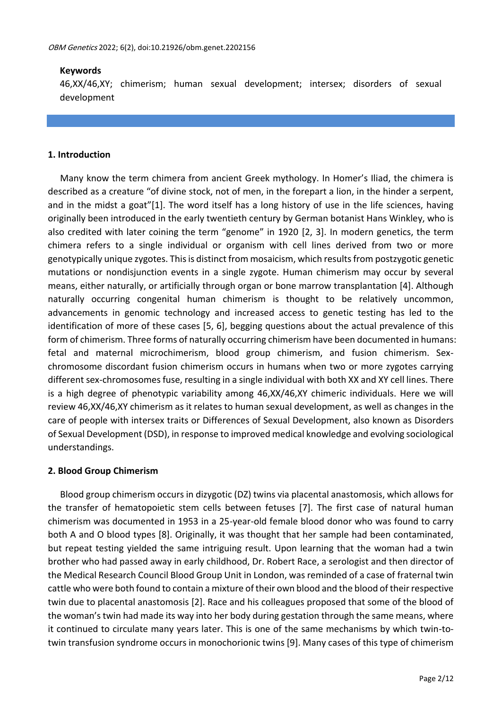# **Keywords**

46,XX/46,XY; chimerism; human sexual development; intersex; disorders of sexual development

# **1. Introduction**

Many know the term chimera from ancient Greek mythology. In Homer's Iliad, the chimera is described as a creature "of divine stock, not of men, in the forepart a lion, in the hinder a serpent, and in the midst a goat"[1]. The word itself has a long history of use in the life sciences, having originally been introduced in the early twentieth century by German botanist Hans Winkley, who is also credited with later coining the term "genome" in 1920 [2, 3]. In modern genetics, the term chimera refers to a single individual or organism with cell lines derived from two or more genotypically unique zygotes. This is distinct from mosaicism, which results from postzygotic genetic mutations or nondisjunction events in a single zygote. Human chimerism may occur by several means, either naturally, or artificially through organ or bone marrow transplantation [4]. Although naturally occurring congenital human chimerism is thought to be relatively uncommon, advancements in genomic technology and increased access to genetic testing has led to the identification of more of these cases [5, 6], begging questions about the actual prevalence of this form of chimerism. Three forms of naturally occurring chimerism have been documented in humans: fetal and maternal microchimerism, blood group chimerism, and fusion chimerism. Sexchromosome discordant fusion chimerism occurs in humans when two or more zygotes carrying different sex-chromosomes fuse, resulting in a single individual with both XX and XY cell lines. There is a high degree of phenotypic variability among 46,XX/46,XY chimeric individuals. Here we will review 46,XX/46,XY chimerism as it relates to human sexual development, as well as changes in the care of people with intersex traits or Differences of Sexual Development, also known as Disorders of Sexual Development (DSD), in response to improved medical knowledge and evolving sociological understandings.

# **2. Blood Group Chimerism**

Blood group chimerism occurs in dizygotic (DZ) twins via placental anastomosis, which allows for the transfer of hematopoietic stem cells between fetuses [7]. The first case of natural human chimerism was documented in 1953 in a 25-year-old female blood donor who was found to carry both A and O blood types [8]. Originally, it was thought that her sample had been contaminated, but repeat testing yielded the same intriguing result. Upon learning that the woman had a twin brother who had passed away in early childhood, Dr. Robert Race, a serologist and then director of the Medical Research Council Blood Group Unit in London, was reminded of a case of fraternal twin cattle who were both found to contain a mixture of their own blood and the blood of their respective twin due to placental anastomosis [2]. Race and his colleagues proposed that some of the blood of the woman's twin had made its way into her body during gestation through the same means, where it continued to circulate many years later. This is one of the same mechanisms by which twin-totwin transfusion syndrome occurs in monochorionic twins [9]. Many cases of this type of chimerism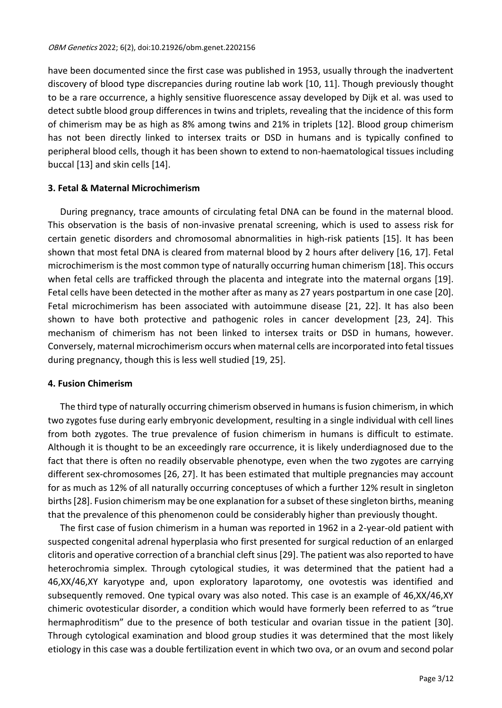have been documented since the first case was published in 1953, usually through the inadvertent discovery of blood type discrepancies during routine lab work [10, 11]. Though previously thought to be a rare occurrence, a highly sensitive fluorescence assay developed by Dijk et al. was used to detect subtle blood group differences in twins and triplets, revealing that the incidence of this form of chimerism may be as high as 8% among twins and 21% in triplets [12]. Blood group chimerism has not been directly linked to intersex traits or DSD in humans and is typically confined to peripheral blood cells, though it has been shown to extend to non-haematological tissues including buccal [13] and skin cells [14].

# **3. Fetal & Maternal Microchimerism**

During pregnancy, trace amounts of circulating fetal DNA can be found in the maternal blood. This observation is the basis of non-invasive prenatal screening, which is used to assess risk for certain genetic disorders and chromosomal abnormalities in high-risk patients [15]. It has been shown that most fetal DNA is cleared from maternal blood by 2 hours after delivery [16, 17]. Fetal microchimerism is the most common type of naturally occurring human chimerism [18]. This occurs when fetal cells are trafficked through the placenta and integrate into the maternal organs [19]. Fetal cells have been detected in the mother after as many as 27 years postpartum in one case [20]. Fetal microchimerism has been associated with autoimmune disease [21, 22]. It has also been shown to have both protective and pathogenic roles in cancer development [23, 24]. This mechanism of chimerism has not been linked to intersex traits or DSD in humans, however. Conversely, maternal microchimerism occurs when maternal cells are incorporated into fetal tissues during pregnancy, though this is less well studied [19, 25].

# **4. Fusion Chimerism**

The third type of naturally occurring chimerism observed in humans is fusion chimerism, in which two zygotes fuse during early embryonic development, resulting in a single individual with cell lines from both zygotes. The true prevalence of fusion chimerism in humans is difficult to estimate. Although it is thought to be an exceedingly rare occurrence, it is likely underdiagnosed due to the fact that there is often no readily observable phenotype, even when the two zygotes are carrying different sex-chromosomes [26, 27]. It has been estimated that multiple pregnancies may account for as much as 12% of all naturally occurring conceptuses of which a further 12% result in singleton births[28]. Fusion chimerism may be one explanation for a subset of these singleton births, meaning that the prevalence of this phenomenon could be considerably higher than previously thought.

The first case of fusion chimerism in a human was reported in 1962 in a 2-year-old patient with suspected congenital adrenal hyperplasia who first presented for surgical reduction of an enlarged clitoris and operative correction of a branchial cleft sinus[29]. The patient was also reported to have heterochromia simplex. Through cytological studies, it was determined that the patient had a 46,XX/46,XY karyotype and, upon exploratory laparotomy, one ovotestis was identified and subsequently removed. One typical ovary was also noted. This case is an example of 46,XX/46,XY chimeric ovotesticular disorder, a condition which would have formerly been referred to as "true hermaphroditism" due to the presence of both testicular and ovarian tissue in the patient [30]. Through cytological examination and blood group studies it was determined that the most likely etiology in this case was a double fertilization event in which two ova, or an ovum and second polar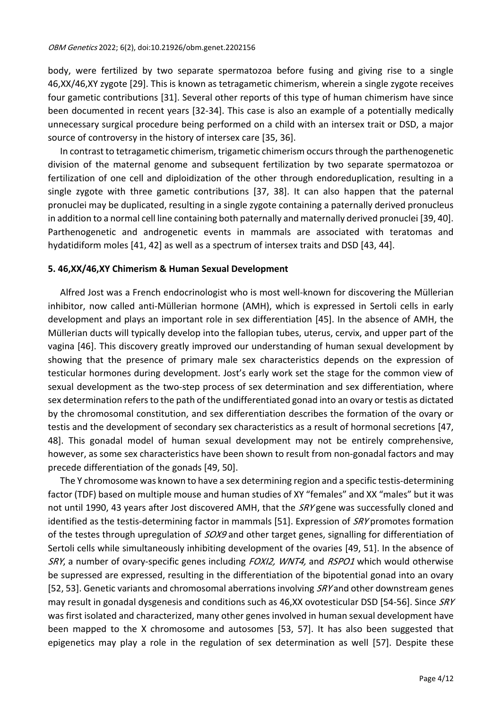body, were fertilized by two separate spermatozoa before fusing and giving rise to a single 46,XX/46,XY zygote [29]. This is known as tetragametic chimerism, wherein a single zygote receives four gametic contributions [31]. Several other reports of this type of human chimerism have since been documented in recent years [32-34]. This case is also an example of a potentially medically unnecessary surgical procedure being performed on a child with an intersex trait or DSD, a major source of controversy in the history of intersex care [35, 36].

In contrast to tetragametic chimerism, trigametic chimerism occurs through the parthenogenetic division of the maternal genome and subsequent fertilization by two separate spermatozoa or fertilization of one cell and diploidization of the other through endoreduplication, resulting in a single zygote with three gametic contributions [37, 38]. It can also happen that the paternal pronuclei may be duplicated, resulting in a single zygote containing a paternally derived pronucleus in addition to a normal cell line containing both paternally and maternally derived pronuclei [39, 40]. Parthenogenetic and androgenetic events in mammals are associated with teratomas and hydatidiform moles [41, 42] as well as a spectrum of intersex traits and DSD [43, 44].

#### **5. 46,XX/46,XY Chimerism & Human Sexual Development**

Alfred Jost was a French endocrinologist who is most well-known for discovering the Müllerian inhibitor, now called anti-Müllerian hormone (AMH), which is expressed in Sertoli cells in early development and plays an important role in sex differentiation [45]. In the absence of AMH, the Müllerian ducts will typically develop into the fallopian tubes, uterus, cervix, and upper part of the vagina [46]. This discovery greatly improved our understanding of human sexual development by showing that the presence of primary male sex characteristics depends on the expression of testicular hormones during development. Jost's early work set the stage for the common view of sexual development as the two-step process of sex determination and sex differentiation, where sex determination refers to the path of the undifferentiated gonad into an ovary or testis as dictated by the chromosomal constitution, and sex differentiation describes the formation of the ovary or testis and the development of secondary sex characteristics as a result of hormonal secretions [47, 48]. This gonadal model of human sexual development may not be entirely comprehensive, however, as some sex characteristics have been shown to result from non-gonadal factors and may precede differentiation of the gonads [49, 50].

The Y chromosome was known to have a sex determining region and a specific testis-determining factor (TDF) based on multiple mouse and human studies of XY "females" and XX "males" but it was not until 1990, 43 years after Jost discovered AMH, that the *SRY* gene was successfully cloned and identified as the testis-determining factor in mammals [51]. Expression of SRY promotes formation of the testes through upregulation of *SOX9* and other target genes, signalling for differentiation of Sertoli cells while simultaneously inhibiting development of the ovaries [49, 51]. In the absence of SRY, a number of ovary-specific genes including FOXI2, WNT4, and RSPO1 which would otherwise be supressed are expressed, resulting in the differentiation of the bipotential gonad into an ovary [52, 53]. Genetic variants and chromosomal aberrations involving SRY and other downstream genes may result in gonadal dysgenesis and conditions such as 46,XX ovotesticular DSD [54-56]. Since SRY was first isolated and characterized, many other genes involved in human sexual development have been mapped to the X chromosome and autosomes [53, 57]. It has also been suggested that epigenetics may play a role in the regulation of sex determination as well [57]. Despite these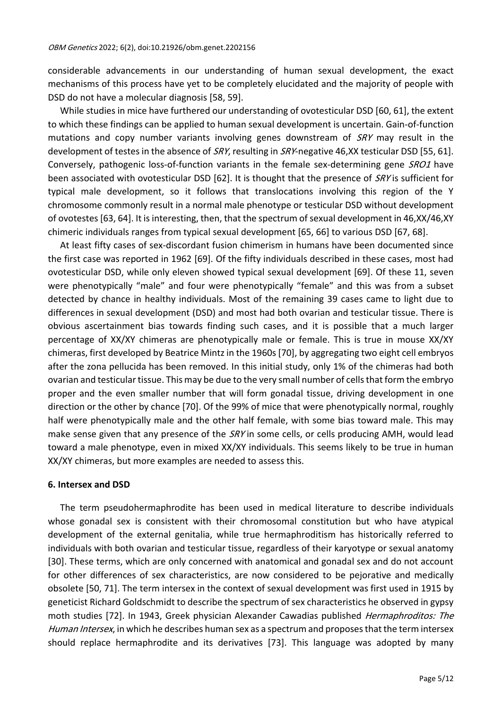considerable advancements in our understanding of human sexual development, the exact mechanisms of this process have yet to be completely elucidated and the majority of people with DSD do not have a molecular diagnosis [58, 59].

While studies in mice have furthered our understanding of ovotesticular DSD [60, 61], the extent to which these findings can be applied to human sexual development is uncertain. Gain-of-function mutations and copy number variants involving genes downstream of  $SRY$  may result in the development of testes in the absence of SRY, resulting in SRY-negative 46,XX testicular DSD [55, 61]. Conversely, pathogenic loss-of-function variants in the female sex-determining gene SRO1 have been associated with ovotesticular DSD [62]. It is thought that the presence of SRY is sufficient for typical male development, so it follows that translocations involving this region of the Y chromosome commonly result in a normal male phenotype or testicular DSD without development of ovotestes[63, 64]. It is interesting, then, that the spectrum of sexual development in 46,XX/46,XY chimeric individuals ranges from typical sexual development [65, 66] to various DSD [67, 68].

At least fifty cases of sex-discordant fusion chimerism in humans have been documented since the first case was reported in 1962 [69]. Of the fifty individuals described in these cases, most had ovotesticular DSD, while only eleven showed typical sexual development [69]. Of these 11, seven were phenotypically "male" and four were phenotypically "female" and this was from a subset detected by chance in healthy individuals. Most of the remaining 39 cases came to light due to differences in sexual development (DSD) and most had both ovarian and testicular tissue. There is obvious ascertainment bias towards finding such cases, and it is possible that a much larger percentage of XX/XY chimeras are phenotypically male or female. This is true in mouse XX/XY chimeras, first developed by Beatrice Mintz in the 1960s [70], by aggregating two eight cell embryos after the zona pellucida has been removed. In this initial study, only 1% of the chimeras had both ovarian and testicular tissue. This may be due to the very small number of cells that form the embryo proper and the even smaller number that will form gonadal tissue, driving development in one direction or the other by chance [70]. Of the 99% of mice that were phenotypically normal, roughly half were phenotypically male and the other half female, with some bias toward male. This may make sense given that any presence of the  $SRY$  in some cells, or cells producing AMH, would lead toward a male phenotype, even in mixed XX/XY individuals. This seems likely to be true in human XX/XY chimeras, but more examples are needed to assess this.

# **6. Intersex and DSD**

The term pseudohermaphrodite has been used in medical literature to describe individuals whose gonadal sex is consistent with their chromosomal constitution but who have atypical development of the external genitalia, while true hermaphroditism has historically referred to individuals with both ovarian and testicular tissue, regardless of their karyotype or sexual anatomy [30]. These terms, which are only concerned with anatomical and gonadal sex and do not account for other differences of sex characteristics, are now considered to be pejorative and medically obsolete [50, 71]. The term intersex in the context of sexual development was first used in 1915 by geneticist Richard Goldschmidt to describe the spectrum of sex characteristics he observed in gypsy moth studies [72]. In 1943, Greek physician Alexander Cawadias published *Hermaphroditos: The* Human Intersex, in which he describes human sex as a spectrum and proposes that the term intersex should replace hermaphrodite and its derivatives [73]. This language was adopted by many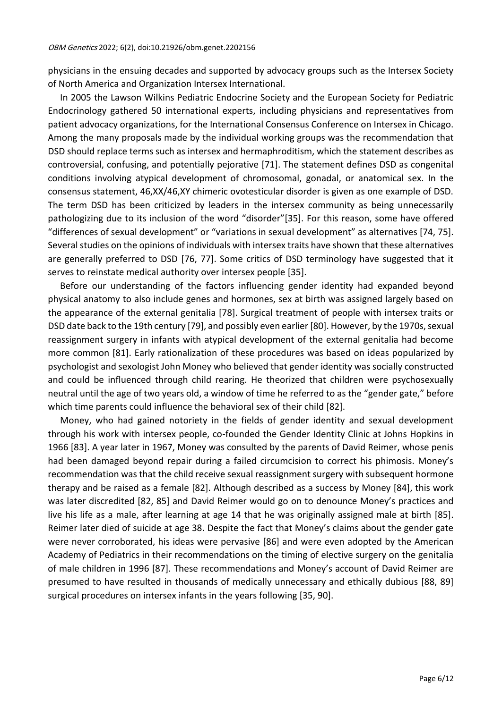physicians in the ensuing decades and supported by advocacy groups such as the Intersex Society of North America and Organization Intersex International.

In 2005 the Lawson Wilkins Pediatric Endocrine Society and the European Society for Pediatric Endocrinology gathered 50 international experts, including physicians and representatives from patient advocacy organizations, for the International Consensus Conference on Intersex in Chicago. Among the many proposals made by the individual working groups was the recommendation that DSD should replace terms such as intersex and hermaphroditism, which the statement describes as controversial, confusing, and potentially pejorative [71]. The statement defines DSD as congenital conditions involving atypical development of chromosomal, gonadal, or anatomical sex. In the consensus statement, 46,XX/46,XY chimeric ovotesticular disorder is given as one example of DSD. The term DSD has been criticized by leaders in the intersex community as being unnecessarily pathologizing due to its inclusion of the word "disorder"[35]. For this reason, some have offered "differences of sexual development" or "variations in sexual development" as alternatives [74, 75]. Several studies on the opinions of individuals with intersex traits have shown that these alternatives are generally preferred to DSD [76, 77]. Some critics of DSD terminology have suggested that it serves to reinstate medical authority over intersex people [35].

Before our understanding of the factors influencing gender identity had expanded beyond physical anatomy to also include genes and hormones, sex at birth was assigned largely based on the appearance of the external genitalia [78]. Surgical treatment of people with intersex traits or DSD date back to the 19th century [79], and possibly even earlier [80]. However, by the 1970s, sexual reassignment surgery in infants with atypical development of the external genitalia had become more common [81]. Early rationalization of these procedures was based on ideas popularized by psychologist and sexologist John Money who believed that gender identity was socially constructed and could be influenced through child rearing. He theorized that children were psychosexually neutral until the age of two years old, a window of time he referred to as the "gender gate," before which time parents could influence the behavioral sex of their child [82].

Money, who had gained notoriety in the fields of gender identity and sexual development through his work with intersex people, co-founded the Gender Identity Clinic at Johns Hopkins in 1966 [83]. A year later in 1967, Money was consulted by the parents of David Reimer, whose penis had been damaged beyond repair during a failed circumcision to correct his phimosis. Money's recommendation was that the child receive sexual reassignment surgery with subsequent hormone therapy and be raised as a female [82]. Although described as a success by Money [84], this work was later discredited [82, 85] and David Reimer would go on to denounce Money's practices and live his life as a male, after learning at age 14 that he was originally assigned male at birth [85]. Reimer later died of suicide at age 38. Despite the fact that Money's claims about the gender gate were never corroborated, his ideas were pervasive [86] and were even adopted by the American Academy of Pediatrics in their recommendations on the timing of elective surgery on the genitalia of male children in 1996 [87]. These recommendations and Money's account of David Reimer are presumed to have resulted in thousands of medically unnecessary and ethically dubious [88, 89] surgical procedures on intersex infants in the years following [35, 90].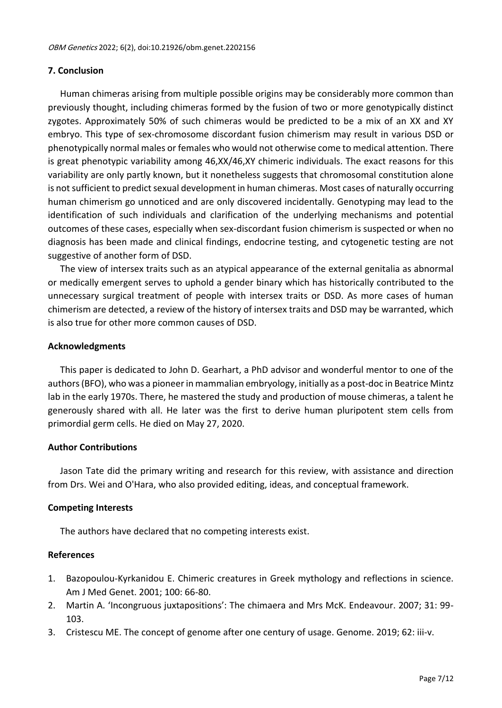# **7. Conclusion**

Human chimeras arising from multiple possible origins may be considerably more common than previously thought, including chimeras formed by the fusion of two or more genotypically distinct zygotes. Approximately 50% of such chimeras would be predicted to be a mix of an XX and XY embryo. This type of sex-chromosome discordant fusion chimerism may result in various DSD or phenotypically normal males or females who would not otherwise come to medical attention. There is great phenotypic variability among 46,XX/46,XY chimeric individuals. The exact reasons for this variability are only partly known, but it nonetheless suggests that chromosomal constitution alone is not sufficient to predict sexual development in human chimeras. Most cases of naturally occurring human chimerism go unnoticed and are only discovered incidentally. Genotyping may lead to the identification of such individuals and clarification of the underlying mechanisms and potential outcomes of these cases, especially when sex-discordant fusion chimerism is suspected or when no diagnosis has been made and clinical findings, endocrine testing, and cytogenetic testing are not suggestive of another form of DSD.

The view of intersex traits such as an atypical appearance of the external genitalia as abnormal or medically emergent serves to uphold a gender binary which has historically contributed to the unnecessary surgical treatment of people with intersex traits or DSD. As more cases of human chimerism are detected, a review of the history of intersex traits and DSD may be warranted, which is also true for other more common causes of DSD.

# **Acknowledgments**

This paper is dedicated to John D. Gearhart, a PhD advisor and wonderful mentor to one of the authors (BFO), who was a pioneer in mammalian embryology, initially as a post-doc in Beatrice Mintz lab in the early 1970s. There, he mastered the study and production of mouse chimeras, a talent he generously shared with all. He later was the first to derive human pluripotent stem cells from primordial germ cells. He died on May 27, 2020.

# **Author Contributions**

Jason Tate did the primary writing and research for this review, with assistance and direction from Drs. Wei and O'Hara, who also provided editing, ideas, and conceptual framework.

# **Competing Interests**

The authors have declared that no competing interests exist.

# **References**

- 1. Bazopoulou-Kyrkanidou E. Chimeric creatures in Greek mythology and reflections in science. Am J Med Genet. 2001; 100: 66-80.
- 2. Martin A. 'Incongruous juxtapositions': The chimaera and Mrs McK. Endeavour. 2007; 31: 99- 103.
- 3. Cristescu ME. The concept of genome after one century of usage. Genome. 2019; 62: iii-v.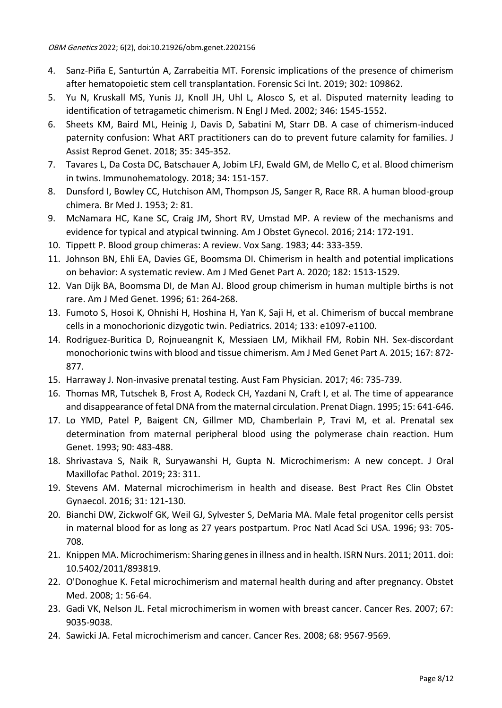- 4. Sanz-Piña E, Santurtún A, Zarrabeitia MT. Forensic implications of the presence of chimerism after hematopoietic stem cell transplantation. Forensic Sci Int. 2019; 302: 109862.
- 5. Yu N, Kruskall MS, Yunis JJ, Knoll JH, Uhl L, Alosco S, et al. Disputed maternity leading to identification of tetragametic chimerism. N Engl J Med. 2002; 346: 1545-1552.
- 6. Sheets KM, Baird ML, Heinig J, Davis D, Sabatini M, Starr DB. A case of chimerism-induced paternity confusion: What ART practitioners can do to prevent future calamity for families. J Assist Reprod Genet. 2018; 35: 345-352.
- 7. Tavares L, Da Costa DC, Batschauer A, Jobim LFJ, Ewald GM, de Mello C, et al. Blood chimerism in twins. Immunohematology. 2018; 34: 151-157.
- 8. Dunsford I, Bowley CC, Hutchison AM, Thompson JS, Sanger R, Race RR. A human blood-group chimera. Br Med J. 1953; 2: 81.
- 9. McNamara HC, Kane SC, Craig JM, Short RV, Umstad MP. A review of the mechanisms and evidence for typical and atypical twinning. Am J Obstet Gynecol. 2016; 214: 172-191.
- 10. Tippett P. Blood group chimeras: A review. Vox Sang. 1983; 44: 333-359.
- 11. Johnson BN, Ehli EA, Davies GE, Boomsma DI. Chimerism in health and potential implications on behavior: A systematic review. Am J Med Genet Part A. 2020; 182: 1513-1529.
- 12. Van Dijk BA, Boomsma DI, de Man AJ. Blood group chimerism in human multiple births is not rare. Am J Med Genet. 1996; 61: 264-268.
- 13. Fumoto S, Hosoi K, Ohnishi H, Hoshina H, Yan K, Saji H, et al. Chimerism of buccal membrane cells in a monochorionic dizygotic twin. Pediatrics. 2014; 133: e1097-e1100.
- 14. Rodriguez-Buritica D, Rojnueangnit K, Messiaen LM, Mikhail FM, Robin NH. Sex-discordant monochorionic twins with blood and tissue chimerism. Am J Med Genet Part A. 2015; 167: 872- 877.
- 15. Harraway J. Non-invasive prenatal testing. Aust Fam Physician. 2017; 46: 735-739.
- 16. Thomas MR, Tutschek B, Frost A, Rodeck CH, Yazdani N, Craft I, et al. The time of appearance and disappearance of fetal DNA from the maternal circulation. Prenat Diagn. 1995; 15: 641-646.
- 17. Lo YMD, Patel P, Baigent CN, Gillmer MD, Chamberlain P, Travi M, et al. Prenatal sex determination from maternal peripheral blood using the polymerase chain reaction. Hum Genet. 1993; 90: 483-488.
- 18. Shrivastava S, Naik R, Suryawanshi H, Gupta N. Microchimerism: A new concept. J Oral Maxillofac Pathol. 2019; 23: 311.
- 19. Stevens AM. Maternal microchimerism in health and disease. Best Pract Res Clin Obstet Gynaecol. 2016; 31: 121-130.
- 20. Bianchi DW, Zickwolf GK, Weil GJ, Sylvester S, DeMaria MA. Male fetal progenitor cells persist in maternal blood for as long as 27 years postpartum. Proc Natl Acad Sci USA. 1996; 93: 705- 708.
- 21. Knippen MA. Microchimerism: Sharing genes in illness and in health. ISRN Nurs. 2011; 2011. doi: 10.5402/2011/893819.
- 22. O'Donoghue K. Fetal microchimerism and maternal health during and after pregnancy. Obstet Med. 2008; 1: 56-64.
- 23. Gadi VK, Nelson JL. Fetal microchimerism in women with breast cancer. Cancer Res. 2007; 67: 9035-9038.
- 24. Sawicki JA. Fetal microchimerism and cancer. Cancer Res. 2008; 68: 9567-9569.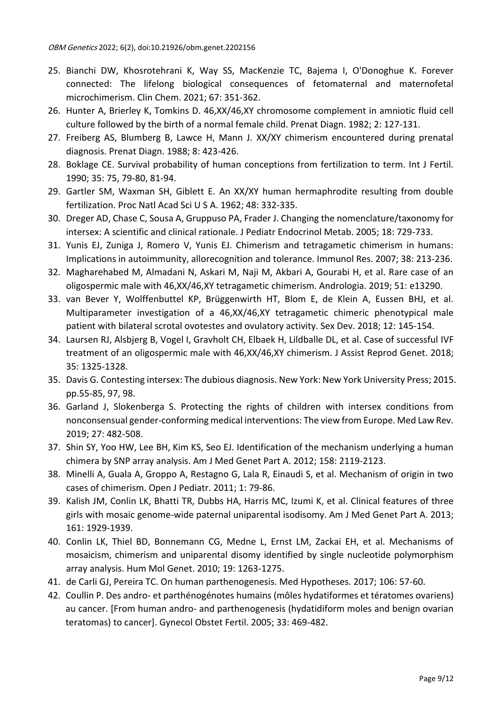- 25. Bianchi DW, Khosrotehrani K, Way SS, MacKenzie TC, Bajema I, O'Donoghue K. Forever connected: The lifelong biological consequences of fetomaternal and maternofetal microchimerism. Clin Chem. 2021; 67: 351-362.
- 26. Hunter A, Brierley K, Tomkins D. 46,XX/46,XY chromosome complement in amniotic fluid cell culture followed by the birth of a normal female child. Prenat Diagn. 1982; 2: 127-131.
- 27. Freiberg AS, Blumberg B, Lawce H, Mann J. XX/XY chimerism encountered during prenatal diagnosis. Prenat Diagn. 1988; 8: 423-426.
- 28. Boklage CE. Survival probability of human conceptions from fertilization to term. Int J Fertil. 1990; 35: 75, 79-80, 81-94.
- 29. Gartler SM, Waxman SH, Giblett E. An XX/XY human hermaphrodite resulting from double fertilization. Proc Natl Acad Sci U S A. 1962; 48: 332-335.
- 30. Dreger AD, Chase C, Sousa A, Gruppuso PA, Frader J. Changing the nomenclature/taxonomy for intersex: A scientific and clinical rationale. J Pediatr Endocrinol Metab. 2005; 18: 729-733.
- 31. Yunis EJ, Zuniga J, Romero V, Yunis EJ. Chimerism and tetragametic chimerism in humans: Implications in autoimmunity, allorecognition and tolerance. Immunol Res. 2007; 38: 213-236.
- 32. Magharehabed M, Almadani N, Askari M, Naji M, Akbari A, Gourabi H, et al. Rare case of an oligospermic male with 46,XX/46,XY tetragametic chimerism. Andrologia. 2019; 51: e13290.
- 33. van Bever Y, Wolffenbuttel KP, Brüggenwirth HT, Blom E, de Klein A, Eussen BHJ, et al. Multiparameter investigation of a 46,XX/46,XY tetragametic chimeric phenotypical male patient with bilateral scrotal ovotestes and ovulatory activity. Sex Dev. 2018; 12: 145-154.
- 34. Laursen RJ, Alsbjerg B, Vogel I, Gravholt CH, Elbaek H, Lildballe DL, et al. Case of successful IVF treatment of an oligospermic male with 46,XX/46,XY chimerism. J Assist Reprod Genet. 2018; 35: 1325-1328.
- 35. Davis G. Contesting intersex: The dubious diagnosis. New York: New York University Press; 2015. pp.55-85, 97, 98.
- 36. Garland J, Slokenberga S. Protecting the rights of children with intersex conditions from nonconsensual gender-conforming medical interventions: The view from Europe. Med Law Rev. 2019; 27: 482-508.
- 37. Shin SY, Yoo HW, Lee BH, Kim KS, Seo EJ. Identification of the mechanism underlying a human chimera by SNP array analysis. Am J Med Genet Part A. 2012; 158: 2119-2123.
- 38. Minelli A, Guala A, Groppo A, Restagno G, Lala R, Einaudi S, et al. Mechanism of origin in two cases of chimerism. Open J Pediatr. 2011; 1: 79-86.
- 39. Kalish JM, Conlin LK, Bhatti TR, Dubbs HA, Harris MC, Izumi K, et al. Clinical features of three girls with mosaic genome-wide paternal uniparental isodisomy. Am J Med Genet Part A. 2013; 161: 1929-1939.
- 40. Conlin LK, Thiel BD, Bonnemann CG, Medne L, Ernst LM, Zackai EH, et al. Mechanisms of mosaicism, chimerism and uniparental disomy identified by single nucleotide polymorphism array analysis. Hum Mol Genet. 2010; 19: 1263-1275.
- 41. de Carli GJ, Pereira TC. On human parthenogenesis. Med Hypotheses. 2017; 106: 57-60.
- 42. Coullin P. Des andro- et parthénogénotes humains (môles hydatiformes et tératomes ovariens) au cancer. [From human andro- and parthenogenesis (hydatidiform moles and benign ovarian teratomas) to cancer]. Gynecol Obstet Fertil. 2005; 33: 469-482.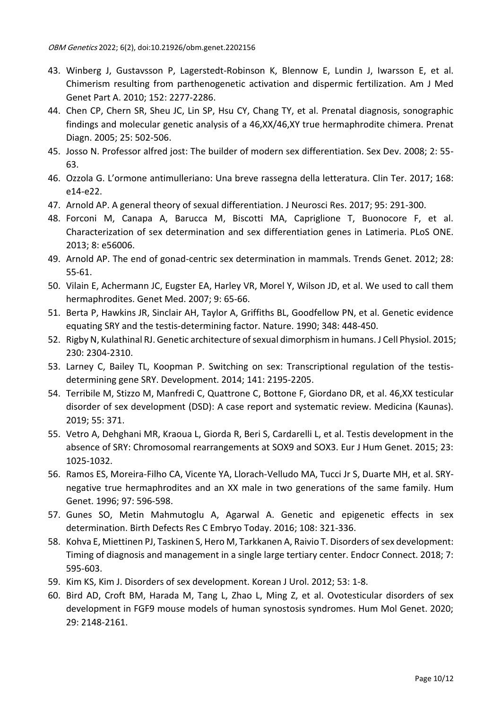- 43. Winberg J, Gustavsson P, Lagerstedt-Robinson K, Blennow E, Lundin J, Iwarsson E, et al. Chimerism resulting from parthenogenetic activation and dispermic fertilization. Am J Med Genet Part A. 2010; 152: 2277-2286.
- 44. Chen CP, Chern SR, Sheu JC, Lin SP, Hsu CY, Chang TY, et al. Prenatal diagnosis, sonographic findings and molecular genetic analysis of a 46,XX/46,XY true hermaphrodite chimera. Prenat Diagn. 2005; 25: 502-506.
- 45. Josso N. Professor alfred jost: The builder of modern sex differentiation. Sex Dev. 2008; 2: 55- 63.
- 46. Ozzola G. L'ormone antimulleriano: Una breve rassegna della letteratura. Clin Ter. 2017; 168: e14-e22.
- 47. Arnold AP. A general theory of sexual differentiation. J Neurosci Res. 2017; 95: 291-300.
- 48. Forconi M, Canapa A, Barucca M, Biscotti MA, Capriglione T, Buonocore F, et al. Characterization of sex determination and sex differentiation genes in Latimeria. PLoS ONE. 2013; 8: e56006.
- 49. Arnold AP. The end of gonad-centric sex determination in mammals. Trends Genet. 2012; 28: 55-61.
- 50. Vilain E, Achermann JC, Eugster EA, Harley VR, Morel Y, Wilson JD, et al. We used to call them hermaphrodites. Genet Med. 2007; 9: 65-66.
- 51. Berta P, Hawkins JR, Sinclair AH, Taylor A, Griffiths BL, Goodfellow PN, et al. Genetic evidence equating SRY and the testis-determining factor. Nature. 1990; 348: 448-450.
- 52. Rigby N, Kulathinal RJ. Genetic architecture of sexual dimorphism in humans. J Cell Physiol. 2015; 230: 2304-2310.
- 53. Larney C, Bailey TL, Koopman P. Switching on sex: Transcriptional regulation of the testisdetermining gene SRY. Development. 2014; 141: 2195-2205.
- 54. Terribile M, Stizzo M, Manfredi C, Quattrone C, Bottone F, Giordano DR, et al. 46,XX testicular disorder of sex development (DSD): A case report and systematic review. Medicina (Kaunas). 2019; 55: 371.
- 55. Vetro A, Dehghani MR, Kraoua L, Giorda R, Beri S, Cardarelli L, et al. Testis development in the absence of SRY: Chromosomal rearrangements at SOX9 and SOX3. Eur J Hum Genet. 2015; 23: 1025-1032.
- 56. Ramos ES, Moreira-Filho CA, Vicente YA, Llorach-Velludo MA, Tucci Jr S, Duarte MH, et al. SRYnegative true hermaphrodites and an XX male in two generations of the same family. Hum Genet. 1996; 97: 596-598.
- 57. Gunes SO, Metin Mahmutoglu A, Agarwal A. Genetic and epigenetic effects in sex determination. Birth Defects Res C Embryo Today. 2016; 108: 321-336.
- 58. Kohva E, Miettinen PJ, Taskinen S, Hero M, Tarkkanen A, Raivio T. Disorders of sex development: Timing of diagnosis and management in a single large tertiary center. Endocr Connect. 2018; 7: 595-603.
- 59. Kim KS, Kim J. Disorders of sex development. Korean J Urol. 2012; 53: 1-8.
- 60. Bird AD, Croft BM, Harada M, Tang L, Zhao L, Ming Z, et al. Ovotesticular disorders of sex development in FGF9 mouse models of human synostosis syndromes. Hum Mol Genet. 2020; 29: 2148-2161.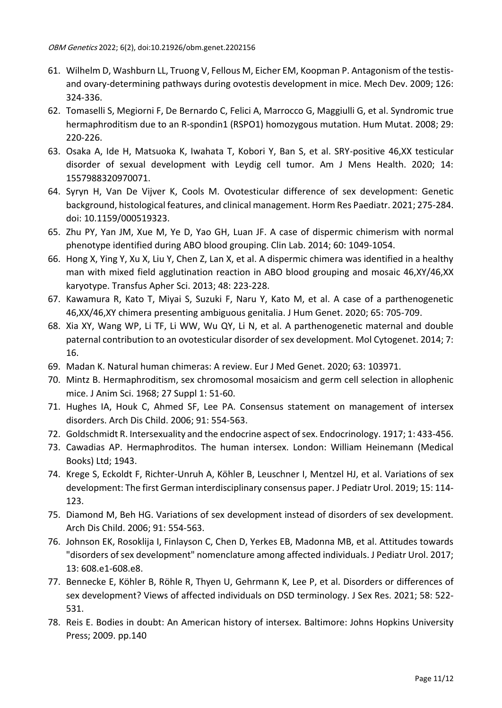- 61. Wilhelm D, Washburn LL, Truong V, Fellous M, Eicher EM, Koopman P. Antagonism of the testisand ovary-determining pathways during ovotestis development in mice. Mech Dev. 2009; 126: 324-336.
- 62. Tomaselli S, Megiorni F, De Bernardo C, Felici A, Marrocco G, Maggiulli G, et al. Syndromic true hermaphroditism due to an R-spondin1 (RSPO1) homozygous mutation. Hum Mutat. 2008; 29: 220-226.
- 63. Osaka A, Ide H, Matsuoka K, Iwahata T, Kobori Y, Ban S, et al. SRY-positive 46,XX testicular disorder of sexual development with Leydig cell tumor. Am J Mens Health. 2020; 14: 1557988320970071.
- 64. Syryn H, Van De Vijver K, Cools M. Ovotesticular difference of sex development: Genetic background, histological features, and clinical management. Horm Res Paediatr. 2021; 275-284. doi: 10.1159/000519323.
- 65. Zhu PY, Yan JM, Xue M, Ye D, Yao GH, Luan JF. A case of dispermic chimerism with normal phenotype identified during ABO blood grouping. Clin Lab. 2014; 60: 1049-1054.
- 66. Hong X, Ying Y, Xu X, Liu Y, Chen Z, Lan X, et al. A dispermic chimera was identified in a healthy man with mixed field agglutination reaction in ABO blood grouping and mosaic 46,XY/46,XX karyotype. Transfus Apher Sci. 2013; 48: 223-228.
- 67. Kawamura R, Kato T, Miyai S, Suzuki F, Naru Y, Kato M, et al. A case of a parthenogenetic 46,XX/46,XY chimera presenting ambiguous genitalia. J Hum Genet. 2020; 65: 705-709.
- 68. Xia XY, Wang WP, Li TF, Li WW, Wu QY, Li N, et al. A parthenogenetic maternal and double paternal contribution to an ovotesticular disorder of sex development. Mol Cytogenet. 2014; 7: 16.
- 69. Madan K. Natural human chimeras: A review. Eur J Med Genet. 2020; 63: 103971.
- 70. Mintz B. Hermaphroditism, sex chromosomal mosaicism and germ cell selection in allophenic mice. J Anim Sci. 1968; 27 Suppl 1: 51-60.
- 71. Hughes IA, Houk C, Ahmed SF, Lee PA. Consensus statement on management of intersex disorders. Arch Dis Child. 2006; 91: 554-563.
- 72. Goldschmidt R. Intersexuality and the endocrine aspect of sex. Endocrinology. 1917; 1: 433-456.
- 73. Cawadias AP. Hermaphroditos. The human intersex. London: William Heinemann (Medical Books) Ltd; 1943.
- 74. Krege S, Eckoldt F, Richter-Unruh A, Köhler B, Leuschner I, Mentzel HJ, et al. Variations of sex development: The first German interdisciplinary consensus paper. J Pediatr Urol. 2019; 15: 114- 123.
- 75. Diamond M, Beh HG. Variations of sex development instead of disorders of sex development. Arch Dis Child. 2006; 91: 554-563.
- 76. Johnson EK, Rosoklija I, Finlayson C, Chen D, Yerkes EB, Madonna MB, et al. Attitudes towards "disorders of sex development" nomenclature among affected individuals. J Pediatr Urol. 2017; 13: 608.e1-608.e8.
- 77. Bennecke E, Köhler B, Röhle R, Thyen U, Gehrmann K, Lee P, et al. Disorders or differences of sex development? Views of affected individuals on DSD terminology. J Sex Res. 2021; 58: 522- 531.
- 78. Reis E. Bodies in doubt: An American history of intersex. Baltimore: Johns Hopkins University Press; 2009. pp.140